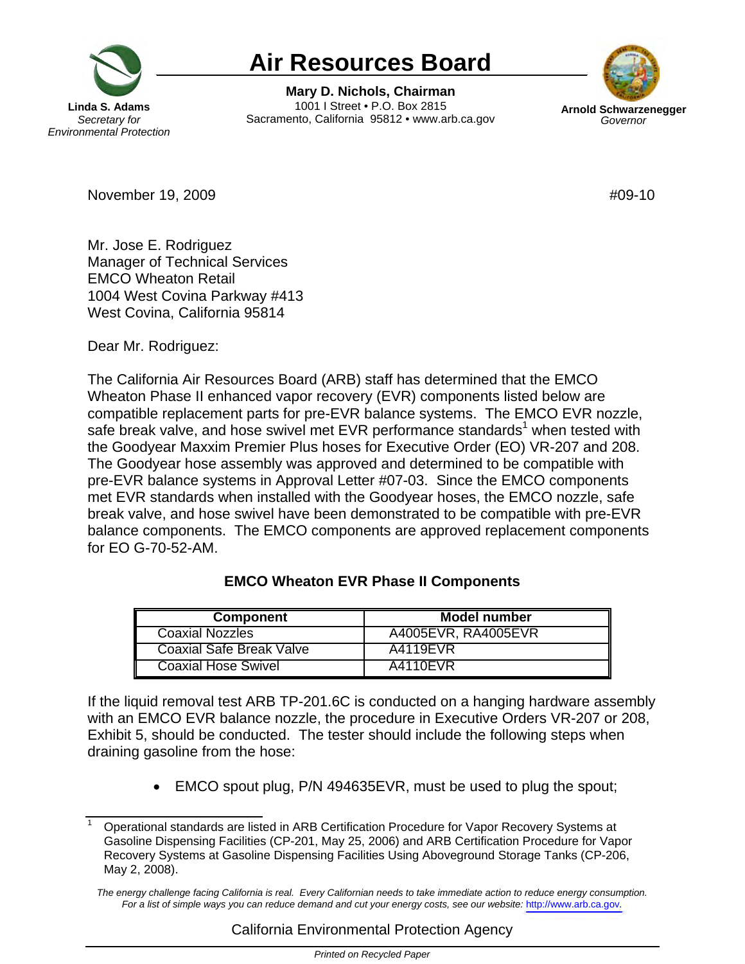

## **Air Resources Board**

**Mary D. Nichols, Chairman**  1001 I Street • P.O. Box 2815 Sacramento, California 95812 • www.arb.ca.gov **Arnold Schwarzenegger** 



November 19, 2009 **#09-10** 

Mr. Jose E. Rodriguez Manager of Technical Services EMCO Wheaton Retail 1004 West Covina Parkway #413 West Covina, California 95814

Dear Mr. Rodriguez:

The California Air Resources Board (ARB) staff has determined that the EMCO Wheaton Phase II enhanced vapor recovery (EVR) components listed below are compatible replacement parts for pre-EVR balance systems. The EMCO EVR nozzle, safe break valve, and hose swivel met EVR performance standards<sup>1</sup> when tested with the Goodyear Maxxim Premier Plus hoses for Executive Order (EO) VR-207 and 208. The Goodyear hose assembly was approved and determined to be compatible with pre-EVR balance systems in Approval Letter #07-03. Since the EMCO components met EVR standards when installed with the Goodyear hoses, the EMCO nozzle, safe break valve, and hose swivel have been demonstrated to be compatible with pre-EVR balance components. The EMCO components are approved replacement components for EO G-70-52-AM.

## **Component Model number** Coaxial Nozzles **A4005EVR, RA4005EVR** Coaxial Safe Break Valve | A4119EVR Coaxial Hose Swivel **A4110EVR**

## **EMCO Wheaton EVR Phase II Components**

If the liquid removal test ARB [TP-201.6C](https://TP-201.6C) is conducted on a hanging hardware assembly with an EMCO EVR balance nozzle, the procedure in Executive Orders VR-207 or 208, Exhibit 5, should be conducted. The tester should include the following steps when draining gasoline from the hose:

• EMCO spout plug, P/N 494635EVR, must be used to plug the spout;

<sup>1</sup> Operational standards are listed in ARB Certification Procedure for Vapor Recovery Systems at Gasoline Dispensing Facilities (CP-201, May 25, 2006) and ARB Certification Procedure for Vapor Recovery Systems at Gasoline Dispensing Facilities Using Aboveground Storage Tanks (CP-206, May 2, 2008).

*The energy challenge facing California is real. Every Californian needs to take immediate action to reduce energy consumption. For a list of simple ways you can reduce demand and cut your energy costs, see our website:* <http://www.arb.ca.gov>*.*